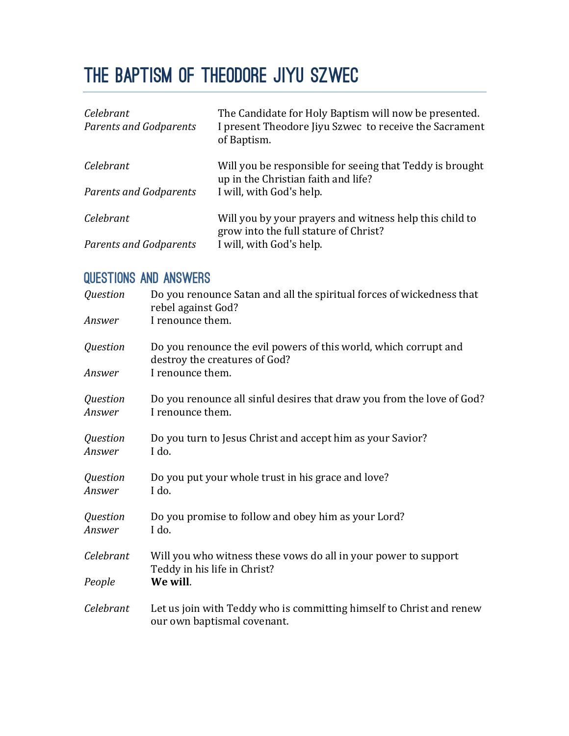# THE BAPTISM OF Theodore Jiyu Szwec

| Celebrant<br><b>Parents and Godparents</b> | The Candidate for Holy Baptism will now be presented.<br>I present Theodore Jiyu Szwec to receive the Sacrament<br>of Baptism. |
|--------------------------------------------|--------------------------------------------------------------------------------------------------------------------------------|
| Celebrant                                  | Will you be responsible for seeing that Teddy is brought<br>up in the Christian faith and life?                                |
| <b>Parents and Godparents</b>              | I will, with God's help.                                                                                                       |
| Celebrant                                  | Will you by your prayers and witness help this child to<br>grow into the full stature of Christ?                               |
| <b>Parents and Godparents</b>              | I will, with God's help.                                                                                                       |

## QUESTIONS AND ANSWERS

| Question           | Do you renounce Satan and all the spiritual forces of wickedness that<br>rebel against God?         |
|--------------------|-----------------------------------------------------------------------------------------------------|
| Answer             | I renounce them.                                                                                    |
| Question           | Do you renounce the evil powers of this world, which corrupt and<br>destroy the creatures of God?   |
| Answer             | I renounce them.                                                                                    |
| Question<br>Answer | Do you renounce all sinful desires that draw you from the love of God?<br>I renounce them.          |
| Question<br>Answer | Do you turn to Jesus Christ and accept him as your Savior?<br>I do.                                 |
| Question<br>Answer | Do you put your whole trust in his grace and love?<br>I do.                                         |
| Question<br>Answer | Do you promise to follow and obey him as your Lord?<br>I do.                                        |
| Celebrant          | Will you who witness these vows do all in your power to support<br>Teddy in his life in Christ?     |
| People             | We will.                                                                                            |
| Celebrant          | Let us join with Teddy who is committing himself to Christ and renew<br>our own baptismal covenant. |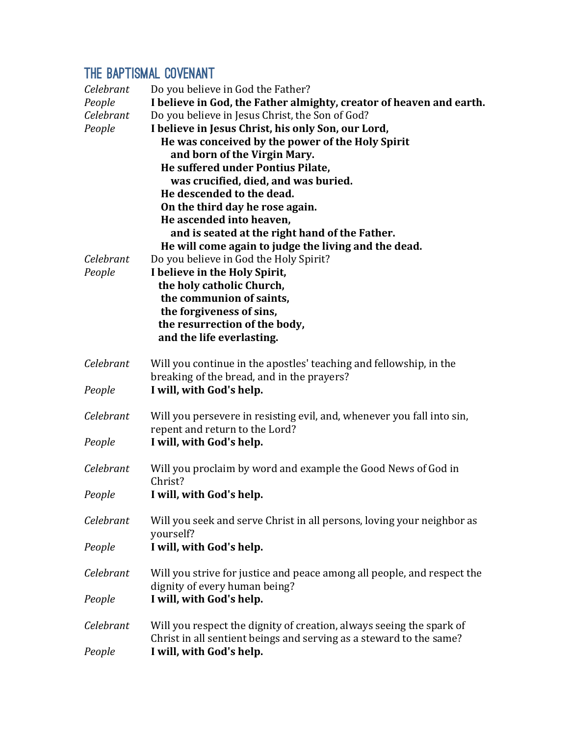# THE BAPTISMAL COVENANT

| Do you believe in God the Father?<br>I believe in God, the Father almighty, creator of heaven and earth.<br>Do you believe in Jesus Christ, the Son of God?<br>I believe in Jesus Christ, his only Son, our Lord,<br>He was conceived by the power of the Holy Spirit<br>and born of the Virgin Mary.<br>He suffered under Pontius Pilate,<br>was crucified, died, and was buried.<br>He descended to the dead.<br>On the third day he rose again.<br>He ascended into heaven,<br>and is seated at the right hand of the Father.<br>He will come again to judge the living and the dead.<br>Do you believe in God the Holy Spirit?<br>I believe in the Holy Spirit,<br>the holy catholic Church,<br>the communion of saints,<br>the forgiveness of sins,<br>the resurrection of the body,<br>and the life everlasting. |
|------------------------------------------------------------------------------------------------------------------------------------------------------------------------------------------------------------------------------------------------------------------------------------------------------------------------------------------------------------------------------------------------------------------------------------------------------------------------------------------------------------------------------------------------------------------------------------------------------------------------------------------------------------------------------------------------------------------------------------------------------------------------------------------------------------------------|
| Will you continue in the apostles' teaching and fellowship, in the<br>breaking of the bread, and in the prayers?                                                                                                                                                                                                                                                                                                                                                                                                                                                                                                                                                                                                                                                                                                       |
| I will, with God's help.                                                                                                                                                                                                                                                                                                                                                                                                                                                                                                                                                                                                                                                                                                                                                                                               |
| Will you persevere in resisting evil, and, whenever you fall into sin,<br>repent and return to the Lord?                                                                                                                                                                                                                                                                                                                                                                                                                                                                                                                                                                                                                                                                                                               |
| I will, with God's help.                                                                                                                                                                                                                                                                                                                                                                                                                                                                                                                                                                                                                                                                                                                                                                                               |
| Will you proclaim by word and example the Good News of God in<br>Christ?                                                                                                                                                                                                                                                                                                                                                                                                                                                                                                                                                                                                                                                                                                                                               |
| I will, with God's help.                                                                                                                                                                                                                                                                                                                                                                                                                                                                                                                                                                                                                                                                                                                                                                                               |
| Will you seek and serve Christ in all persons, loving your neighbor as<br>yourself?                                                                                                                                                                                                                                                                                                                                                                                                                                                                                                                                                                                                                                                                                                                                    |
| I will, with God's help.                                                                                                                                                                                                                                                                                                                                                                                                                                                                                                                                                                                                                                                                                                                                                                                               |
| Will you strive for justice and peace among all people, and respect the<br>dignity of every human being?                                                                                                                                                                                                                                                                                                                                                                                                                                                                                                                                                                                                                                                                                                               |
| I will, with God's help.                                                                                                                                                                                                                                                                                                                                                                                                                                                                                                                                                                                                                                                                                                                                                                                               |
| Will you respect the dignity of creation, always seeing the spark of<br>Christ in all sentient beings and serving as a steward to the same?<br>I will, with God's help.                                                                                                                                                                                                                                                                                                                                                                                                                                                                                                                                                                                                                                                |
|                                                                                                                                                                                                                                                                                                                                                                                                                                                                                                                                                                                                                                                                                                                                                                                                                        |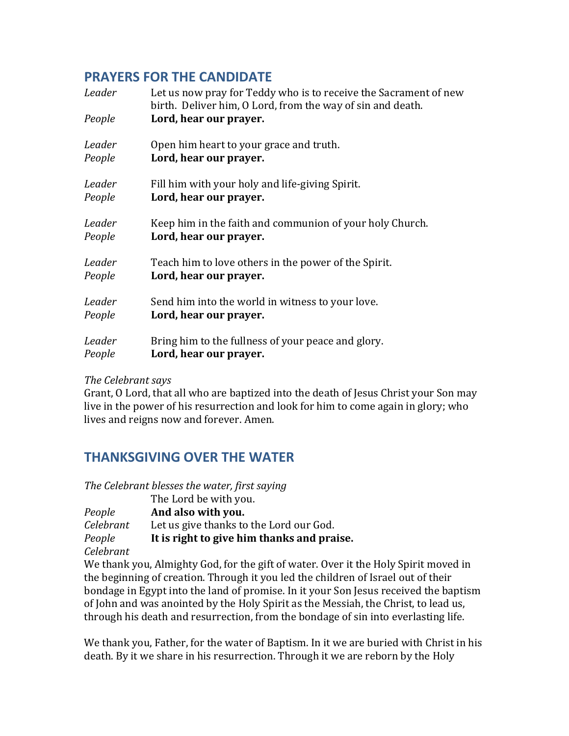#### **PRAYERS FOR THE CANDIDATE**

| Leader<br>People | Let us now pray for Teddy who is to receive the Sacrament of new<br>birth. Deliver him, O Lord, from the way of sin and death.<br>Lord, hear our prayer. |
|------------------|----------------------------------------------------------------------------------------------------------------------------------------------------------|
| Leader           | Open him heart to your grace and truth.                                                                                                                  |
| People           | Lord, hear our prayer.                                                                                                                                   |
| Leader           | Fill him with your holy and life-giving Spirit.                                                                                                          |
| People           | Lord, hear our prayer.                                                                                                                                   |
| Leader           | Keep him in the faith and communion of your holy Church.                                                                                                 |
| People           | Lord, hear our prayer.                                                                                                                                   |
| Leader           | Teach him to love others in the power of the Spirit.                                                                                                     |
| People           | Lord, hear our prayer.                                                                                                                                   |
| Leader           | Send him into the world in witness to your love.                                                                                                         |
| People           | Lord, hear our prayer.                                                                                                                                   |
| Leader           | Bring him to the fullness of your peace and glory.                                                                                                       |
| People           | Lord, hear our prayer.                                                                                                                                   |

*The Celebrant says*

Grant, O Lord, that all who are baptized into the death of Jesus Christ your Son may live in the power of his resurrection and look for him to come again in glory; who lives and reigns now and forever. Amen.

### **THANKSGIVING OVER THE WATER**

*The Celebrant blesses the water, first saying*

|           | The Lord be with you.                      |
|-----------|--------------------------------------------|
| People    | And also with you.                         |
| Celebrant | Let us give thanks to the Lord our God.    |
| People    | It is right to give him thanks and praise. |
| Celebrant |                                            |

We thank you, Almighty God, for the gift of water. Over it the Holy Spirit moved in the beginning of creation. Through it you led the children of Israel out of their bondage in Egypt into the land of promise. In it your Son Jesus received the baptism of John and was anointed by the Holy Spirit as the Messiah, the Christ, to lead us, through his death and resurrection, from the bondage of sin into everlasting life.

We thank you, Father, for the water of Baptism. In it we are buried with Christ in his death. By it we share in his resurrection. Through it we are reborn by the Holy